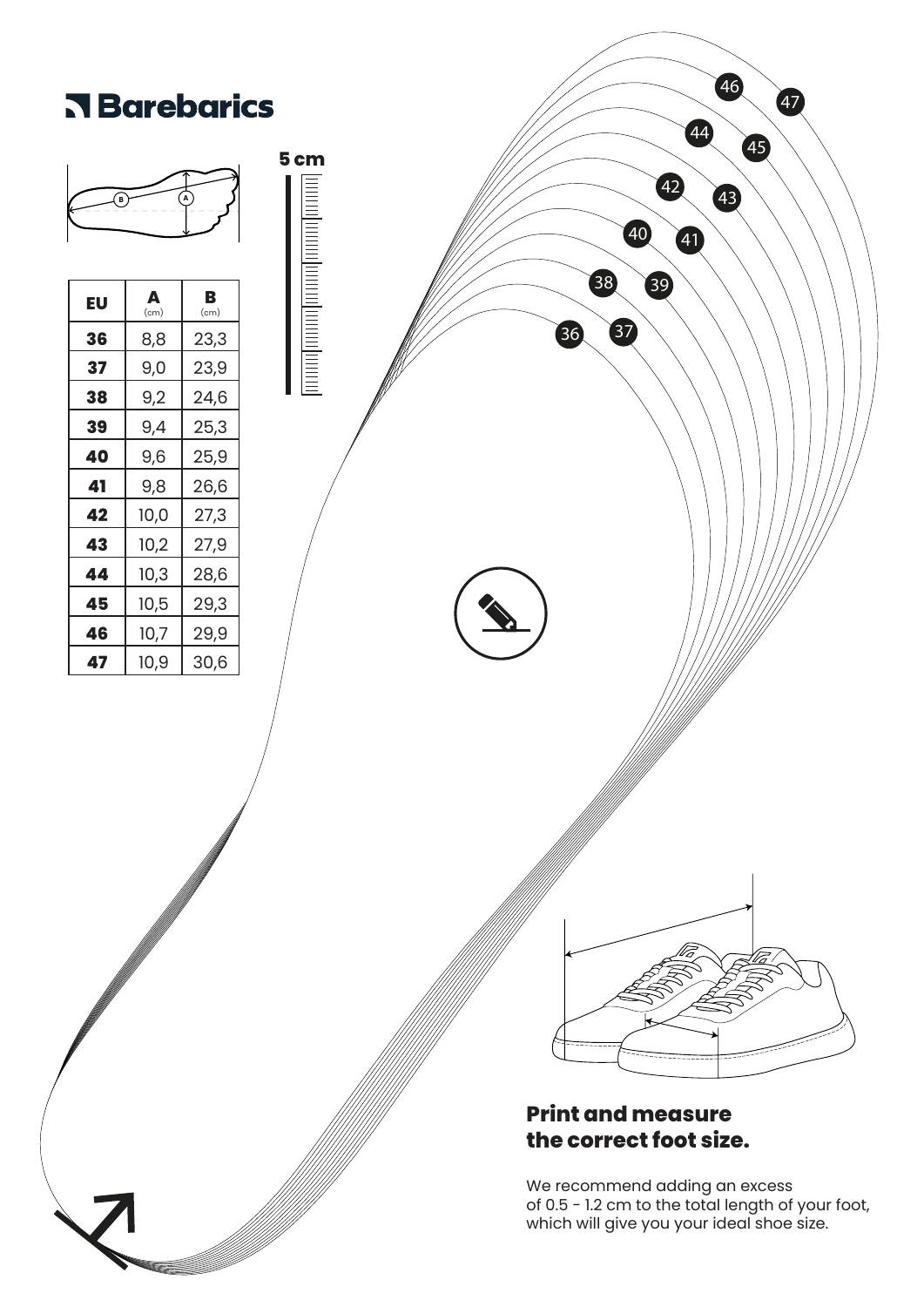

of 0.5 - 1.2 cm to the total length of your foot, which will give you your ideal shoe size.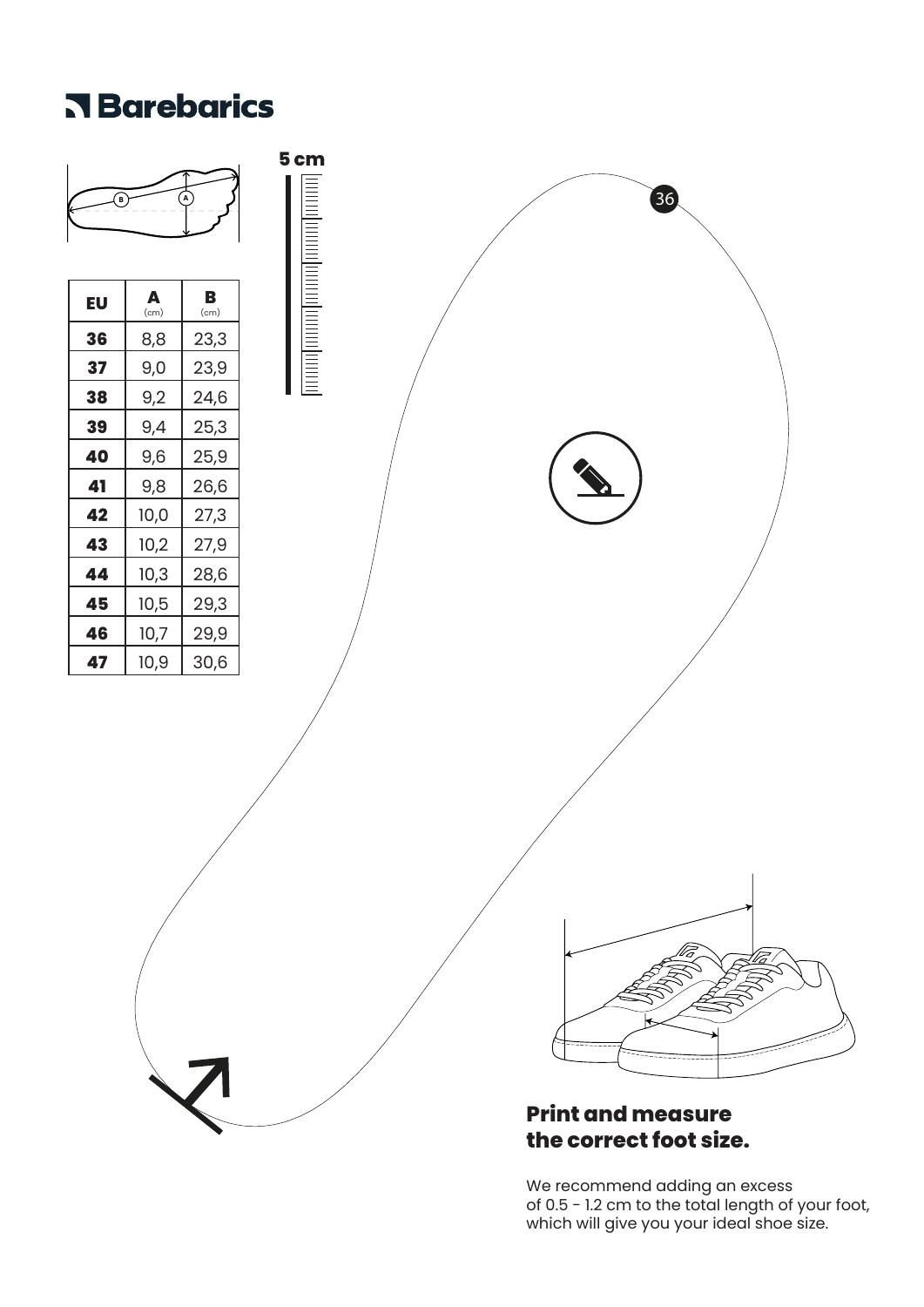## **R** Barebarics



# **the correct foot size.**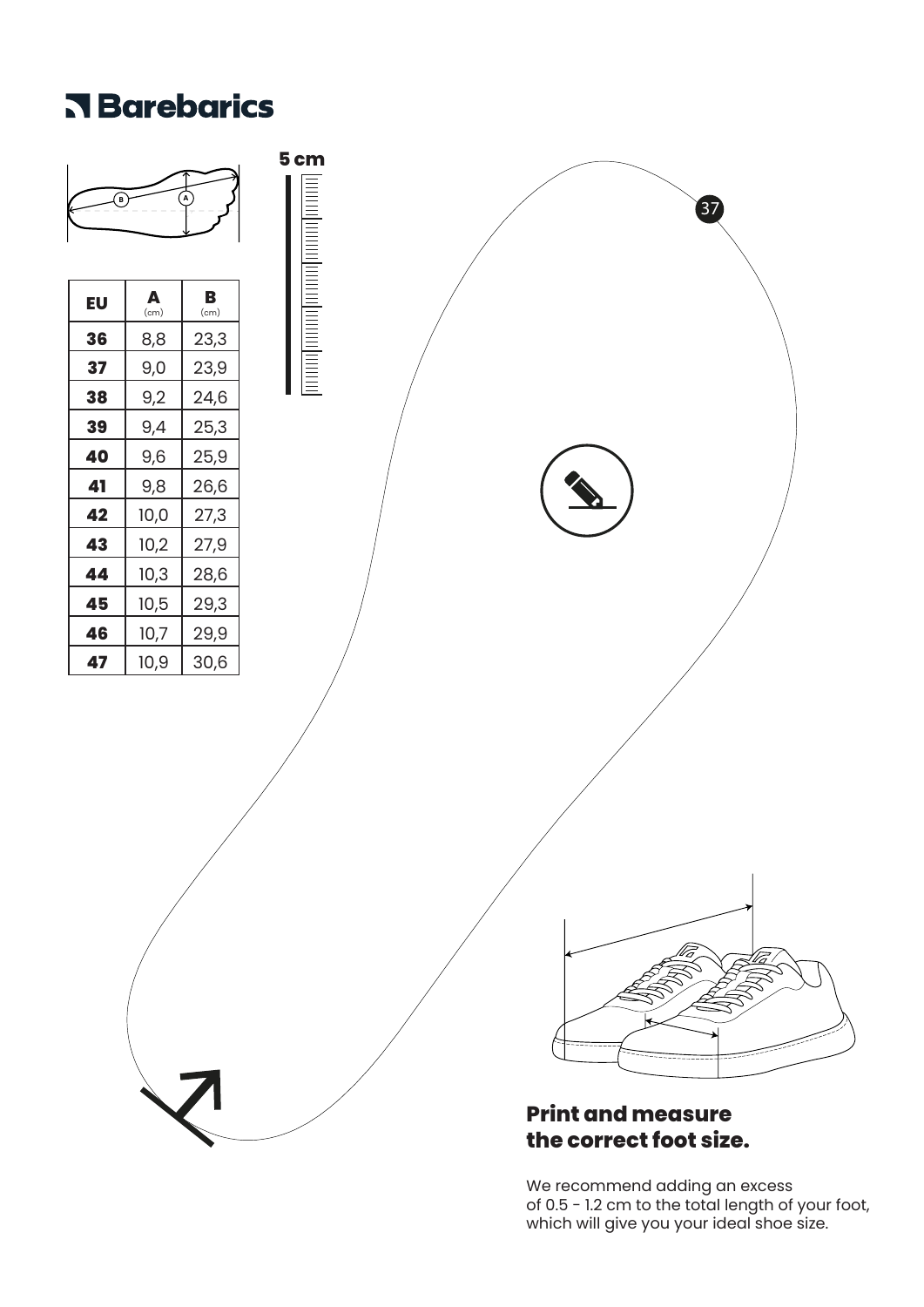## **R** Barebarics

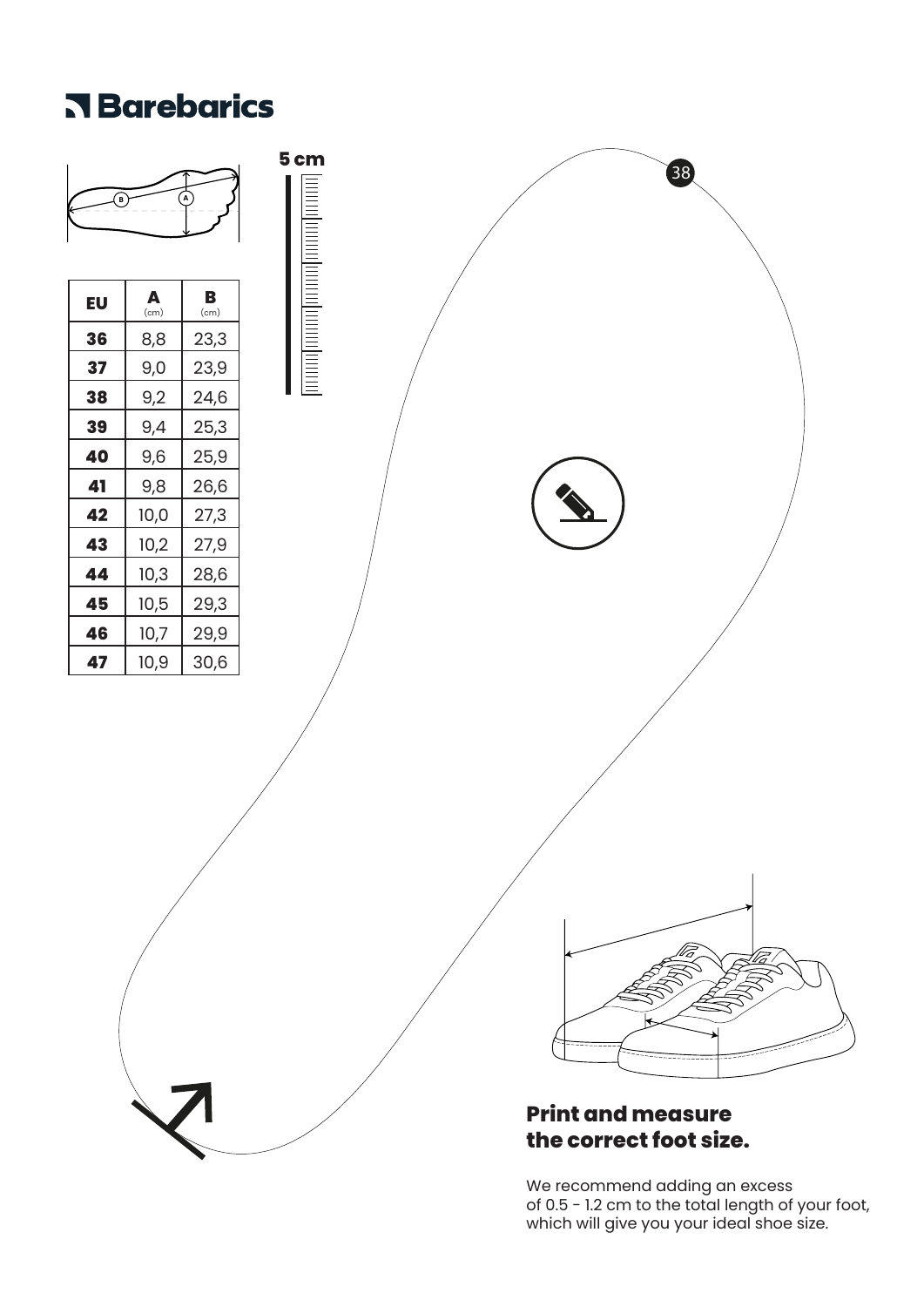## **R** Barebarics

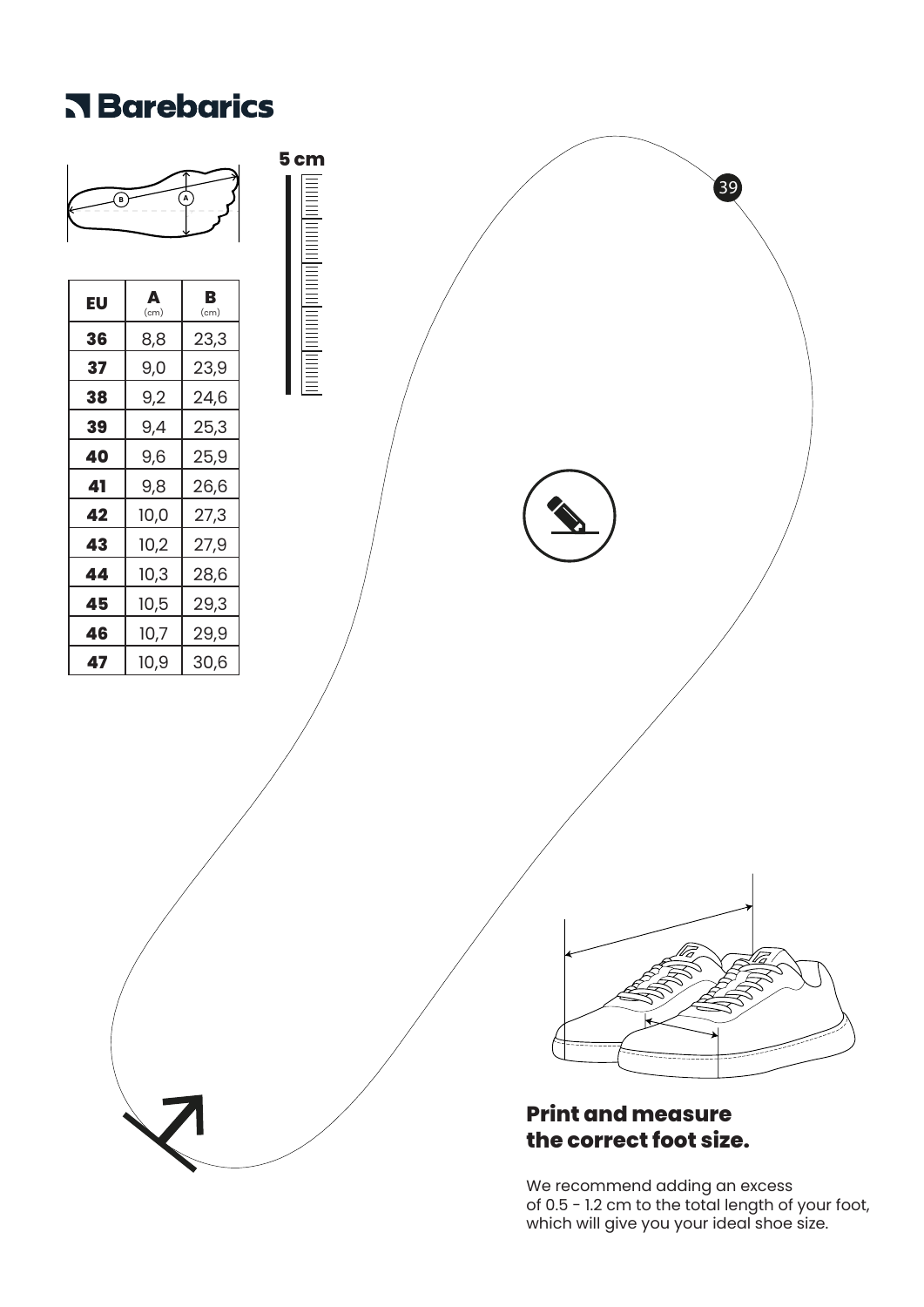## **Rarebarics**

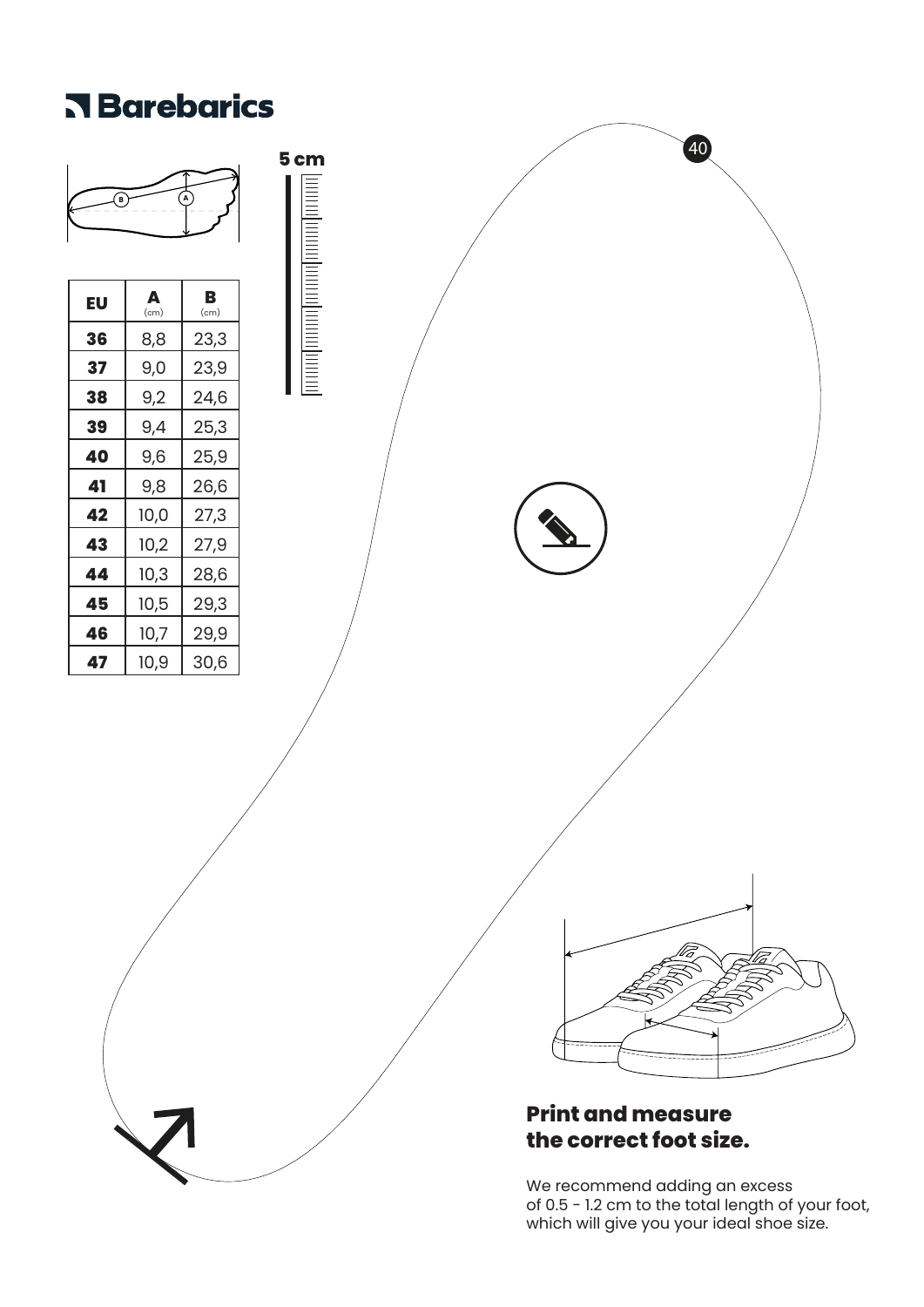## **Rarebarics**

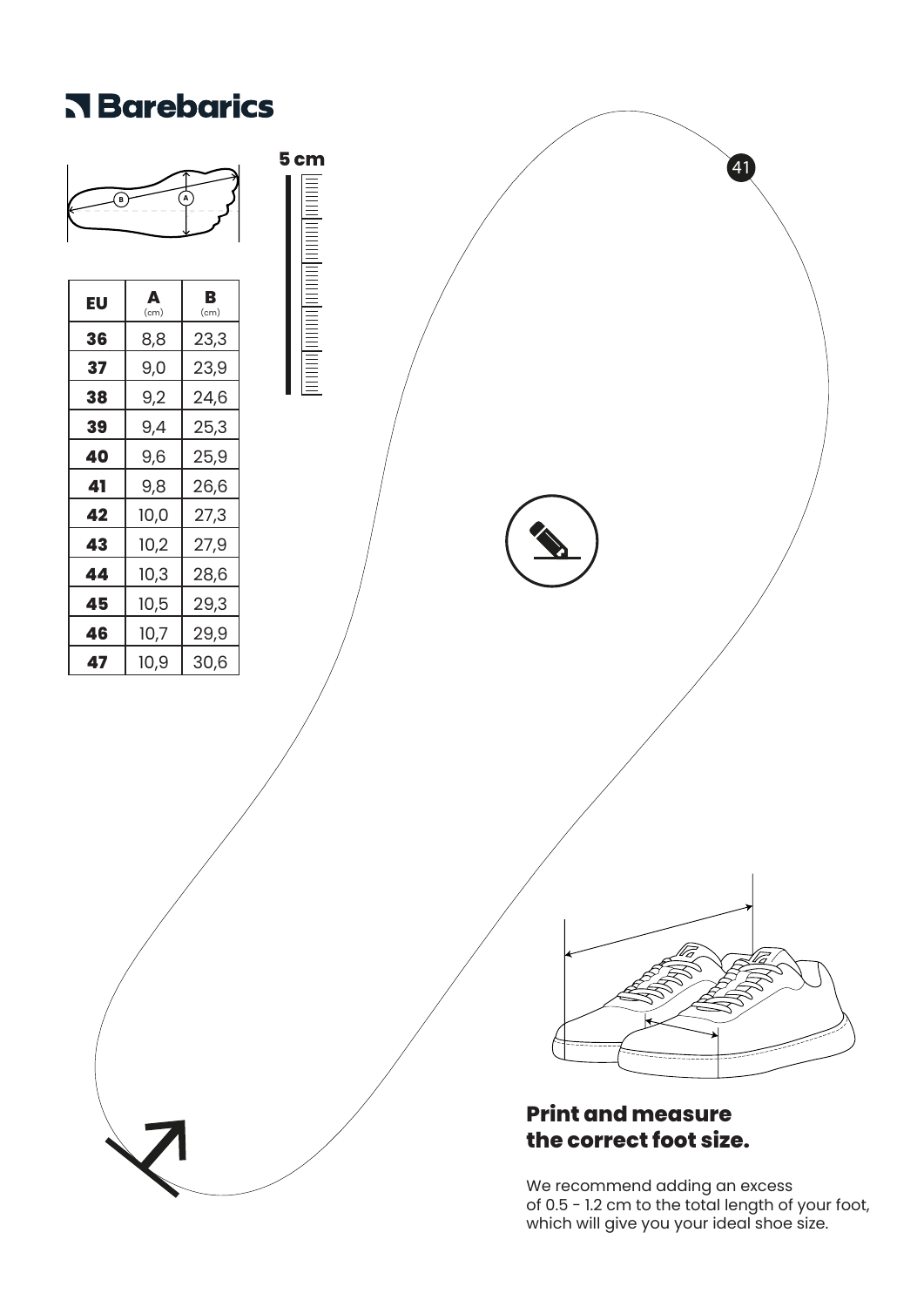#### **Rarebarics**

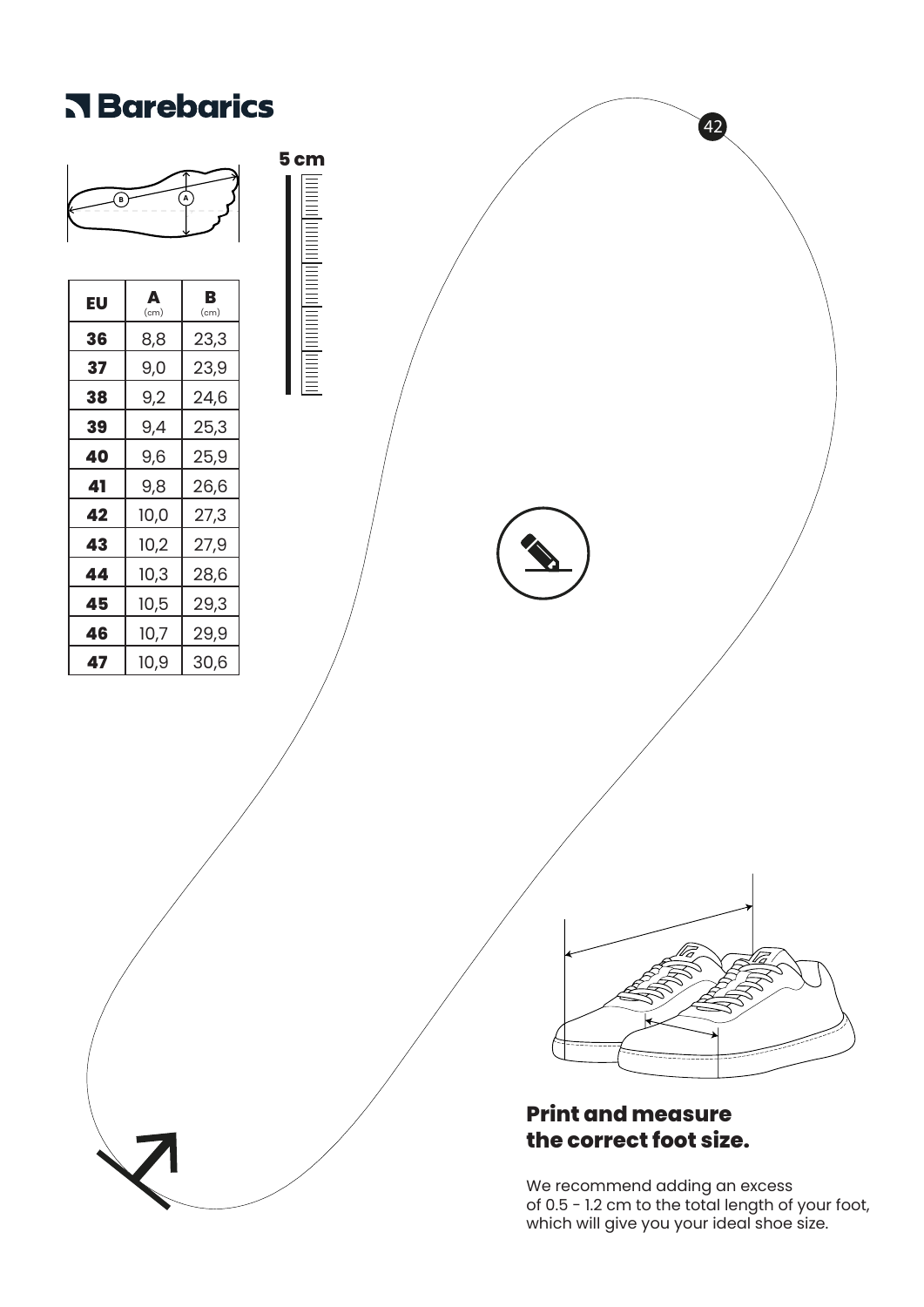

of 0.5 - 1.2 cm to the total length of your foot, which will give you your ideal shoe size.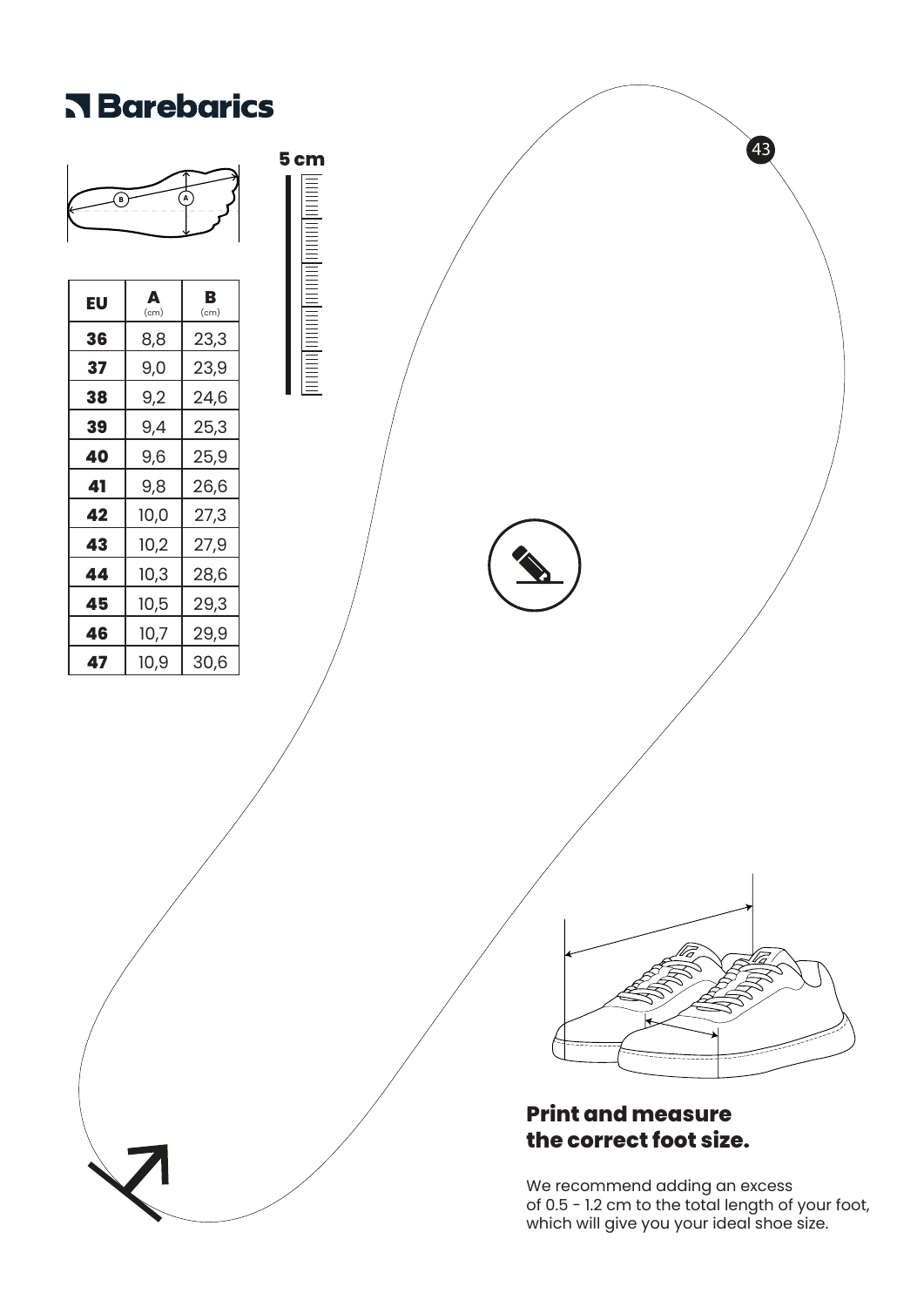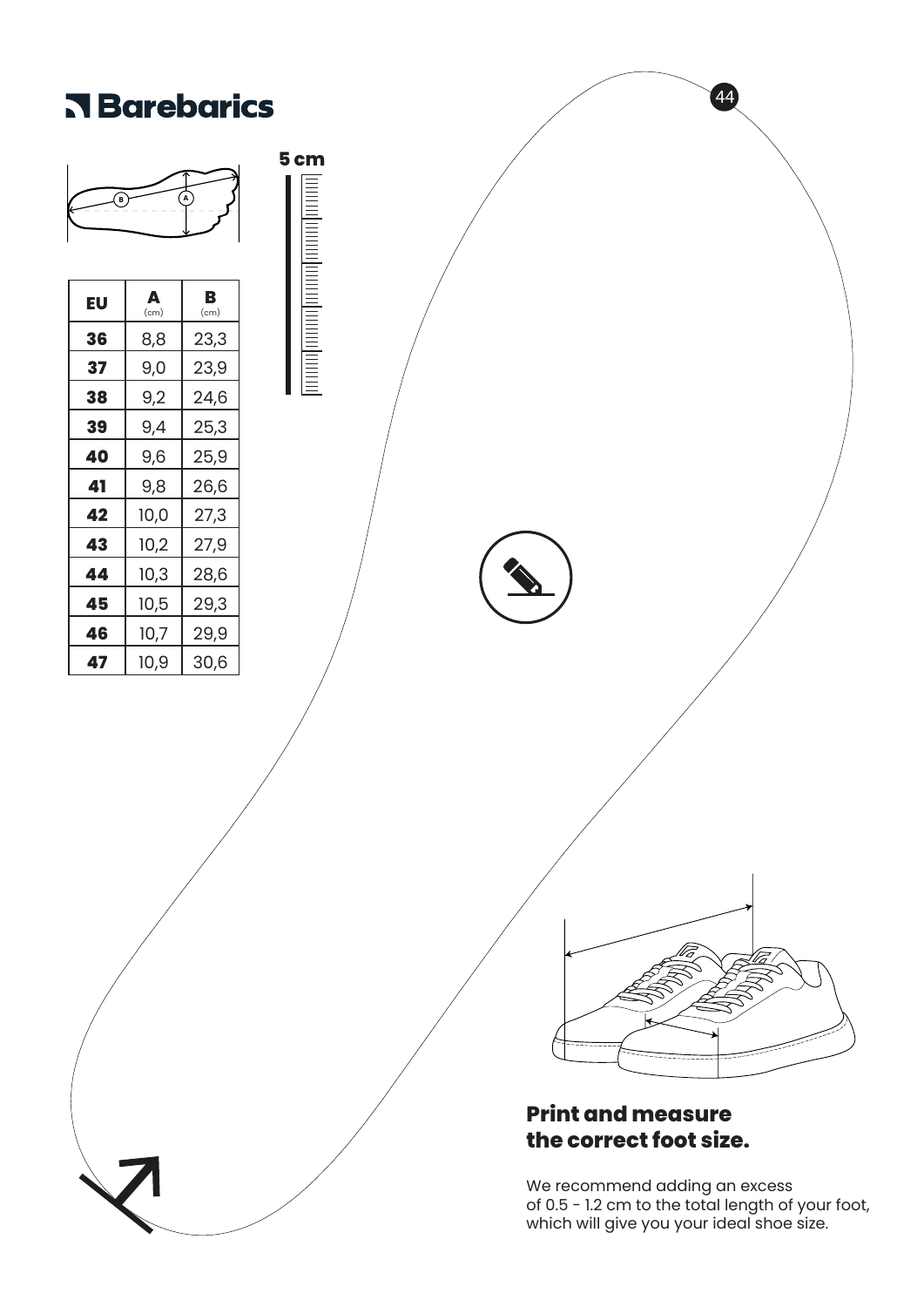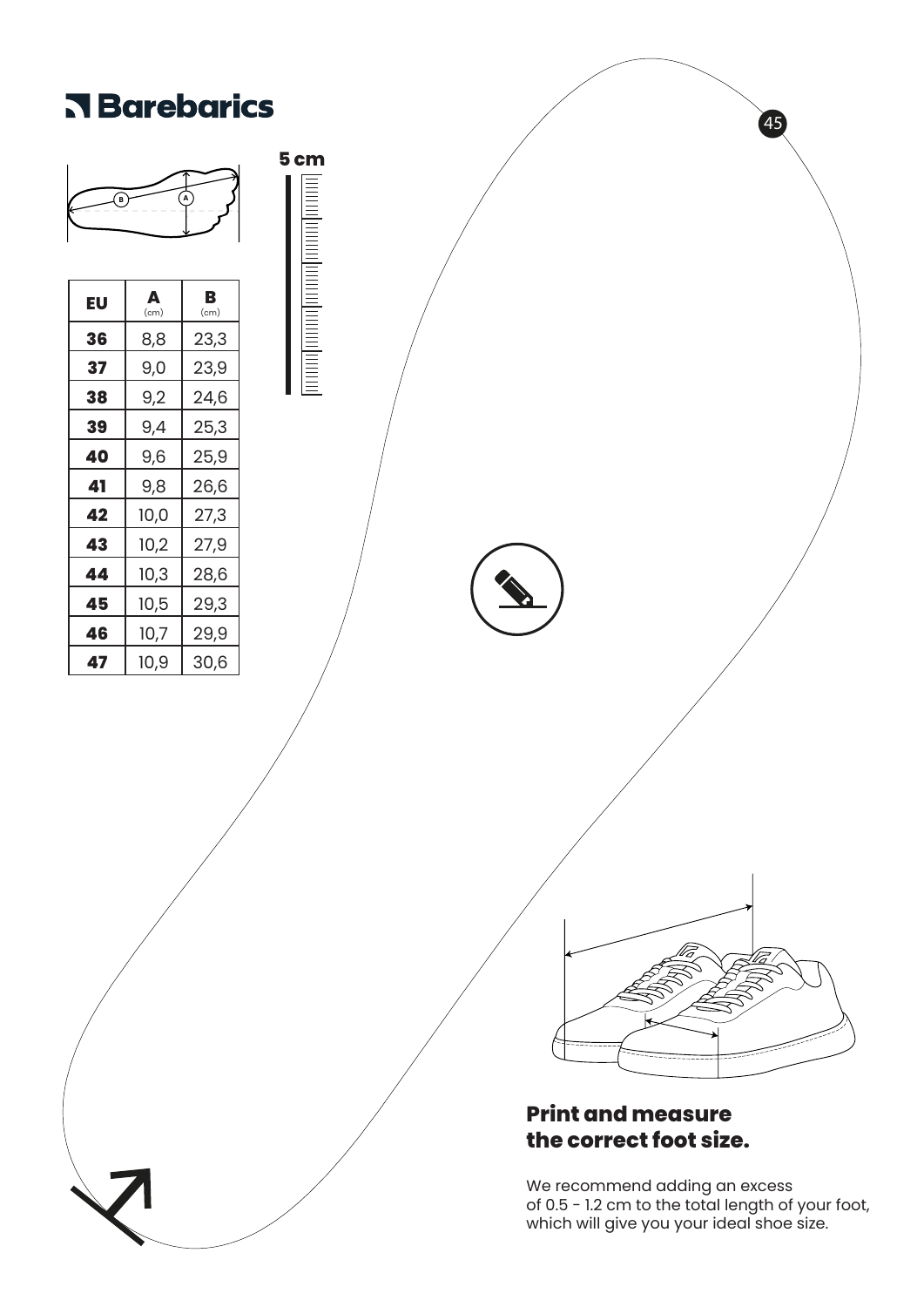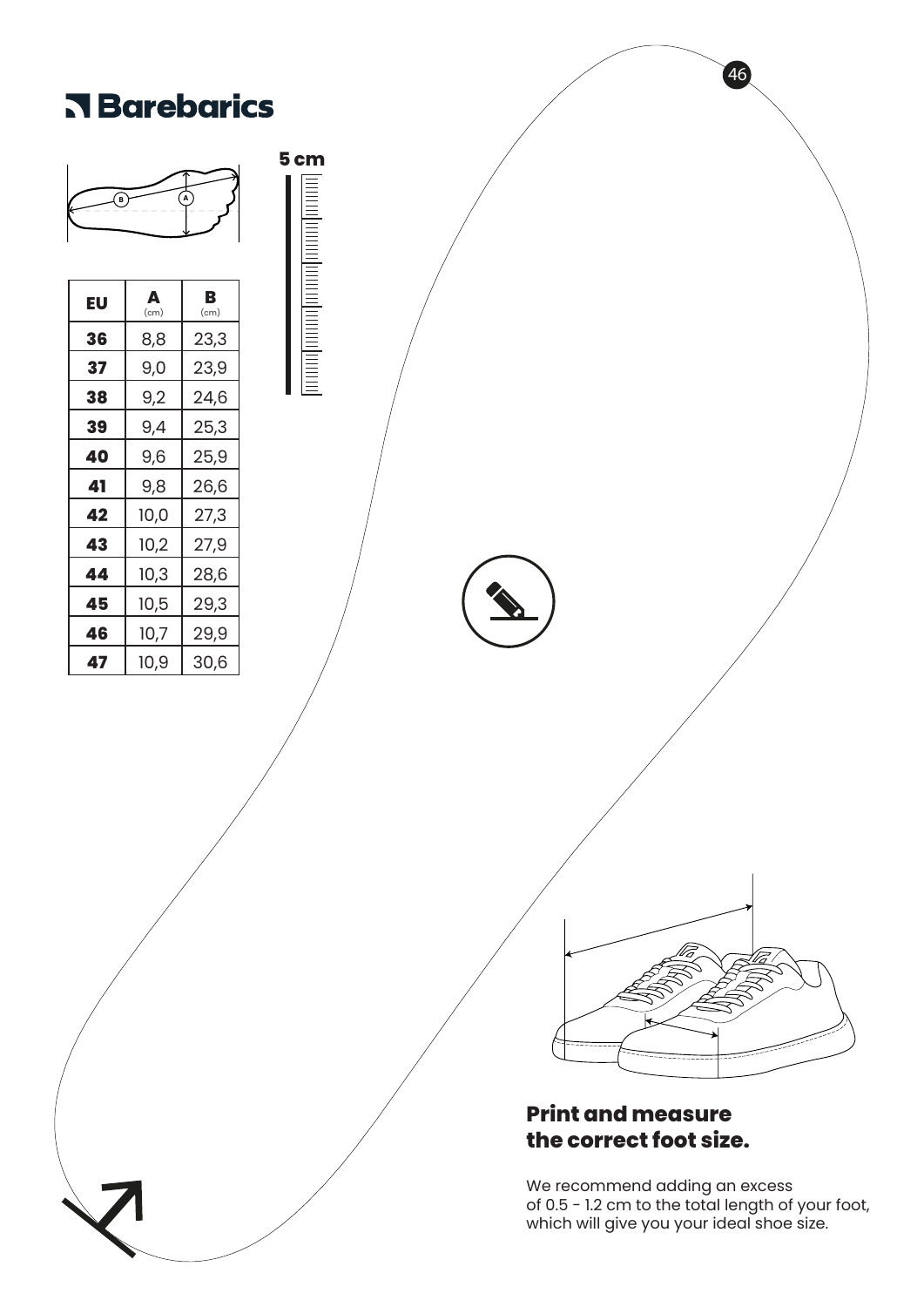